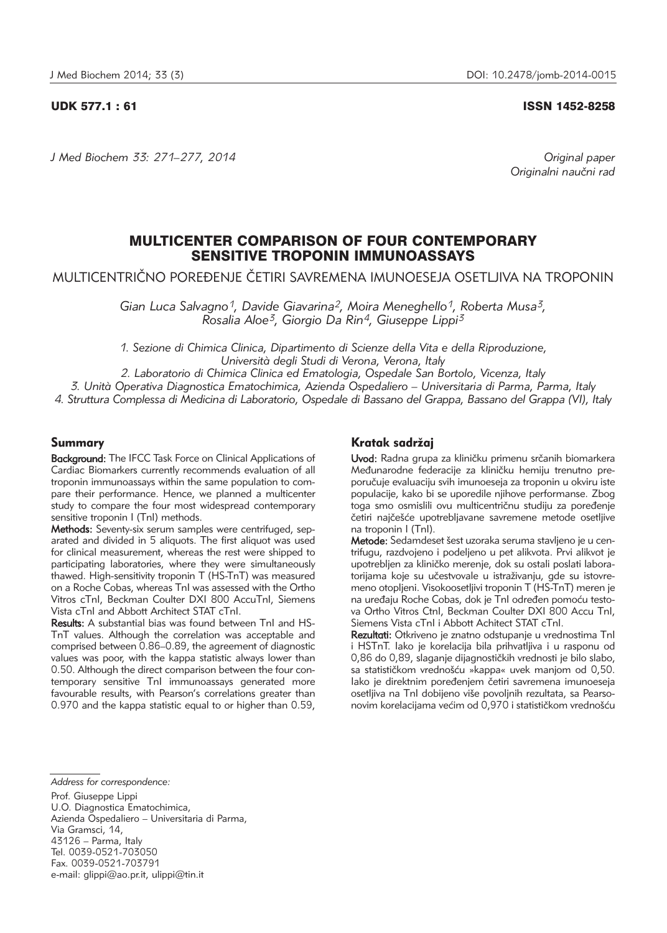## UDK 577.1 : 61 ISSN 1452-8258

*J Med Biochem 33: 271–277, 2014 Original paper*

Originalni naučni rad

# MULTICENTER COMPARISON OF FOUR CONTEMPORARY SENSITIVE TROPONIN IMMUNOASSAYS

MULTICENTRIČNO POREĐENJE ČETIRI SAVREMENA IMUNOESEJA OSETLJIVA NA TROPONIN

*Gian Luca Salvagno1, Davide Giavarina2, Moira Meneghello1, Roberta Musa3, Rosalia Aloe3, Giorgio Da Rin4, Giuseppe Lippi3*

*1. Sezione di Chimica Clinica, Dipartimento di Scienze della Vita e della Riproduzione, Università degli Studi di Verona, Verona, Italy*

*2. Laboratorio di Chimica Clinica ed Ematologia, Ospedale San Bortolo, Vicenza, Italy*

*3. Unità Operativa Diagnostica Ematochimica, Azienda Ospedaliero – Universitaria di Parma, Parma, Italy*

*4. Struttura Complessa di Medicina di Laboratorio, Ospedale di Bassano del Grappa, Bassano del Grappa (VI), Italy*

# Summary

Background: The IFCC Task Force on Clinical Applications of Cardiac Biomarkers currently recommends evaluation of all troponin immunoassays within the same population to compare their performance. Hence, we planned a multicenter study to compare the four most widespread contemporary sensitive troponin I (TnI) methods.

Methods: Seventy-six serum samples were centrifuged, separated and divided in 5 aliquots. The first aliquot was used for clinical measurement, whereas the rest were shipped to participating laboratories, where they were simultaneously thawed. High-sensitivity troponin T (HS-TnT) was measured on a Roche Cobas, whereas TnI was assessed with the Ortho Vitros cTnI, Beckman Coulter DXI 800 AccuTnI, Siemens Vista cTnI and Abbott Architect STAT cTnI.

Results: A substantial bias was found between TnI and HS-TnT values. Although the correlation was acceptable and comprised between 0.86–0.89, the agreement of diagnostic values was poor, with the kappa statistic always lower than 0.50. Although the direct comparison between the four contemporary sensitive TnI immunoassays generated more favourable results, with Pearson's correlations greater than 0.970 and the kappa statistic equal to or higher than 0.59,

## Kratak sadržaj

Uvod: Radna grupa za kliničku primenu srčanih biomarkera Međunarodne federacije za kliničku hemiju trenutno preporučuje evaluaciju svih imunoeseja za troponin u okviru iste populacije, kako bi se uporedile njihove performanse. Zbog toga smo osmislili ovu multicentričnu studiju za poređenje četiri najčešće upotrebljavane savremene metode osetljive na troponin I (TnI).

Metode: Sedamdeset šest uzoraka seruma stavljeno je u centrifugu, razdvojeno i podeljeno u pet alikvota. Prvi alikvot je upotrebljen za kliničko merenje, dok su ostali poslati laboratorijama koje su učestvovale u istraživanju, gde su istovremeno otopljeni. Visokoosetljivi troponin T (HS-TnT) meren je na uređaju Roche Cobas, dok je TnI određen pomoću testova Ortho Vitros CtnI, Beckman Coulter DXI 800 Accu TnI, Siemens Vista cTnI i Abbott Achitect STAT cTnI.

Rezultati: Otkriveno je znatno odstupanje u vrednostima Tnl i HSTnT. Iako je korelacija bila prihvatljiva i u rasponu od 0,86 do 0,89, slaganje dijagnostičkih vrednosti je bilo slabo, sa statističkom vrednošću »kappa« uvek manjom od 0,50. lako je direktnim poređenjem četiri savremena imunoeseja osetlijva na Tnl dobijeno više povoljnih rezultata, sa Pearsonovim korelacijama većim od 0,970 i statističkom vrednošću

Prof. Giuseppe Lippi U.O. Diagnostica Ematochimica, Azienda Ospedaliero – Universitaria di Parma, Via Gramsci, 14, 43126 – Parma, Italy Tel. 0039-0521-703050 Fax. 0039-0521-703791 e-mail: glippi@ao.pr.it, ulippi@tin.it

*Address for correspondence:*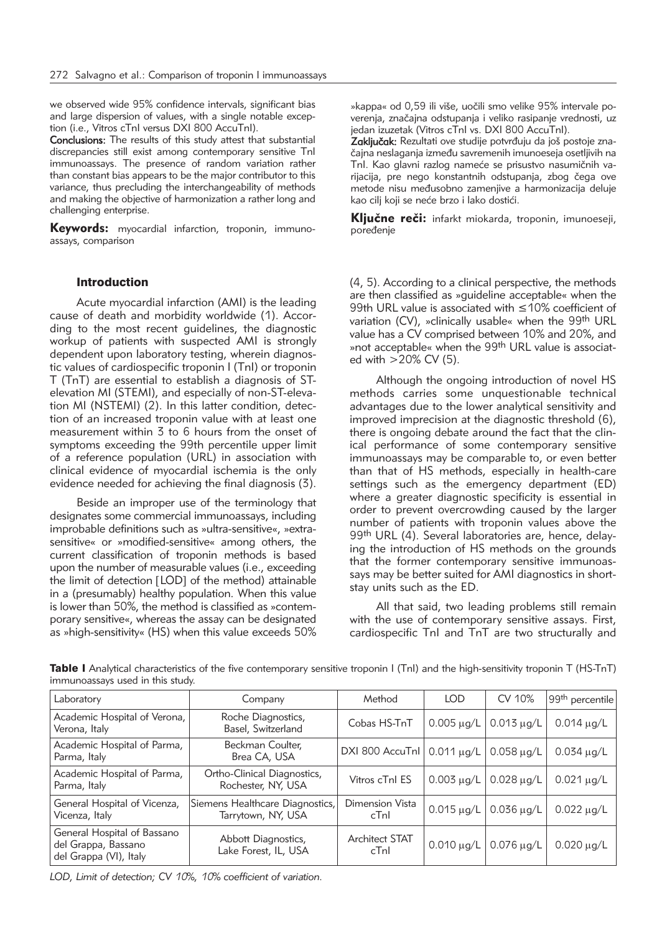we observed wide 95% confidence intervals, significant bias and large dispersion of values, with a single notable exception (i.e., Vitros cTnI versus DXI 800 AccuTnI).

Conclusions: The results of this study attest that substantial discrepancies still exist among contemporary sensitive TnI immunoassays. The presence of random variation rather than constant bias appears to be the major contributor to this variance, thus precluding the interchangeability of methods and making the objective of harmonization a rather long and challenging enterprise.

Keywords: myocardial infarction, troponin, immunoassays, comparison

## Introduction

Acute myocardial infarction (AMI) is the leading cause of death and morbidity worldwide (1). According to the most recent guidelines, the diagnostic workup of patients with suspected AMI is strongly dependent upon laboratory testing, wherein diagnostic values of cardiospecific troponin I (TnI) or troponin T (TnT) are essential to establish a diagnosis of STelevation MI (STEMI), and especially of non-ST-elevation MI (NSTEMI) (2). In this latter condition, detection of an increased troponin value with at least one measurement within 3 to 6 hours from the onset of symptoms exceeding the 99th percentile upper limit of a reference population (URL) in association with clinical evidence of myocardial ischemia is the only evidence needed for achieving the final diagnosis (3).

Beside an improper use of the terminology that designates some commercial immunoassays, including improbable definitions such as »ultra-sensitive«, »extrasensitive« or »modified-sensitive« among others, the current classification of troponin methods is based upon the number of measurable values (i.e., exceeding the limit of detection [LOD] of the method) attainable in a (presumably) healthy population. When this value is lower than 50%, the method is classified as »contemporary sensitive«, whereas the assay can be designated as »high-sensitivity« (HS) when this value exceeds 50%

»kappa« od 0.59 ili više, uočili smo velike 95% intervale poverenja, značajna odstupanja i veliko rasipanje vrednosti, uz jedan izuzetak (Vitros cTnI vs. DXI 800 AccuTnI).

Zaključak: Rezultati ove studije potvrđuju da još postoje značajna neslaganja između savremenih imunoeseja osetljivih na Tnl. Kao glavni razlog nameće se prisustvo nasumičnih varijacija, pre nego konstantnih odstupanja, zbog čega ove metode nisu međusobno zamenjive a harmonizacija deluje kao cilj koji se neće brzo i lako dostići.

Ključne reči: infarkt miokarda, troponin, imunoeseji, poređenie

(4, 5). According to a clinical perspective, the methods are then classified as »guideline acceptable« when the 99th URL value is associated with ≤10% coefficient of variation (CV), »clinically usable« when the 99th URL value has a CV comprised between 10% and 20%, and »not acceptable« when the 99<sup>th</sup> URL value is associated with  $>20\%$  CV (5).

Although the ongoing introduction of novel HS methods carries some unquestionable technical advantages due to the lower analytical sensitivity and improved imprecision at the diagnostic threshold (6), there is ongoing debate around the fact that the clinical performance of some contemporary sensitive immunoassays may be comparable to, or even better than that of HS methods, especially in health-care settings such as the emergency department (ED) where a greater diagnostic specificity is essential in order to prevent overcrowding caused by the larger number of patients with troponin values above the 99th URL (4). Several laboratories are, hence, delaying the introduction of HS methods on the grounds that the former contemporary sensitive immunoassays may be better suited for AMI diagnostics in shortstay units such as the ED.

All that said, two leading problems still remain with the use of contemporary sensitive assays. First, cardiospecific TnI and TnT are two structurally and

| Laboratory                                                                   | Company                                               | Method                        | LOD               | CV 10%          | 99 <sup>th</sup> percentile |
|------------------------------------------------------------------------------|-------------------------------------------------------|-------------------------------|-------------------|-----------------|-----------------------------|
| Academic Hospital of Verona,<br>Verona, Italy                                | Roche Diagnostics,<br>Basel, Switzerland              | Cobas HS-TnT                  | $0.005 \,\mu g/L$ | $0.013 \mu q/L$ | $0.014 \mu q/L$             |
| Academic Hospital of Parma,<br>Parma, Italy                                  | Beckman Coulter,<br>Brea CA, USA                      | DXI 800 AccuTnl   0.011 µg/L  |                   | $0.058 \mu q/L$ | $0.034 \mu q/L$             |
| Academic Hospital of Parma,<br>Parma, Italy                                  | Ortho-Clinical Diagnostics,<br>Rochester, NY, USA     | Vitros cTnl ES                | $0.003 \mu g/L$   | $0.028 \mu q/L$ | $0.021 \,\mu g/L$           |
| General Hospital of Vicenza,<br>Vicenza, Italy                               | Siemens Healthcare Diagnostics,<br>Tarrytown, NY, USA | Dimension Vista<br>cTnl       | $0.015 \mu q/L$   | $0.036 \mu q/L$ | $0.022 \mu q/L$             |
| General Hospital of Bassano<br>del Grappa, Bassano<br>del Grappa (VI), Italy | Abbott Diagnostics,<br>Lake Forest, IL, USA           | <b>Architect STAT</b><br>cTnl | $0.010 \mu q/L$   | $0.076 \mu q/L$ | $0.020 \mu q/L$             |

Table I Analytical characteristics of the five contemporary sensitive troponin I (TnI) and the high-sensitivity troponin T (HS-TnT) immunoassays used in this study.

*LOD, Limit of detection; CV 10%, 10% coefficient of variation.*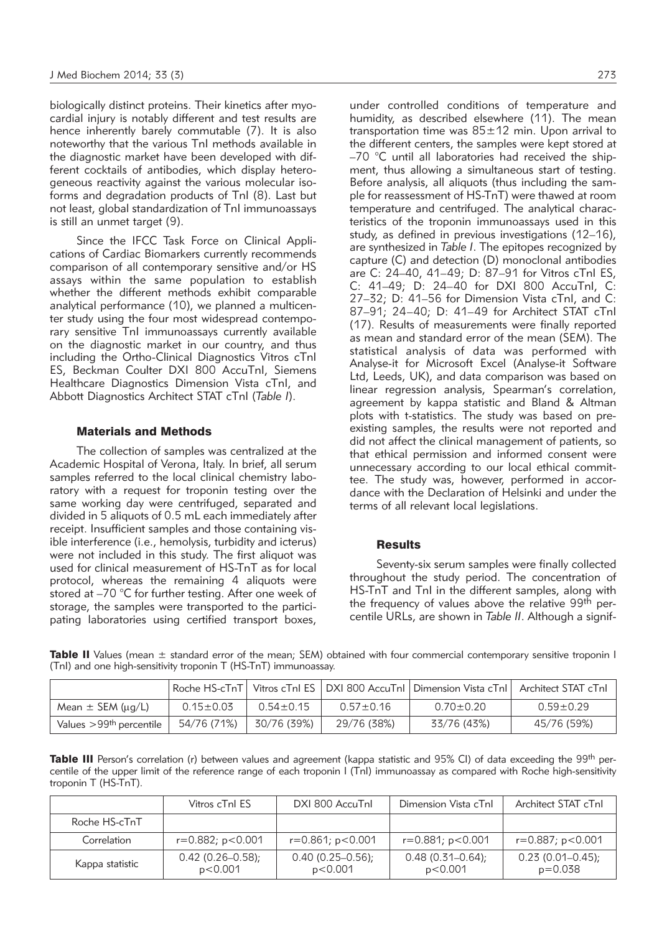biologically distinct proteins. Their kinetics after myocardial injury is notably different and test results are hence inherently barely commutable (7). It is also noteworthy that the various TnI methods available in the diagnostic market have been developed with different cocktails of antibodies, which display heterogeneous reactivity against the various molecular isoforms and degradation products of TnI (8). Last but not least, global standardization of TnI immunoassays is still an unmet target (9).

Since the IFCC Task Force on Clinical Applications of Cardiac Biomarkers currently recommends comparison of all contemporary sensitive and/or HS assays within the same population to establish whether the different methods exhibit comparable analytical performance (10), we planned a multicenter study using the four most widespread contemporary sensitive TnI immunoassays currently available on the diagnostic market in our country, and thus including the Ortho-Clinical Diagnostics Vitros cTnI ES, Beckman Coulter DXI 800 AccuTnI, Siemens Healthcare Diagnostics Dimension Vista cTnl, and Abbott Diagnostics Architect STAT cTnI (*Table I*).

## Materials and Methods

The collection of samples was centralized at the Academic Hospital of Verona, Italy. In brief, all serum samples referred to the local clinical chemistry laboratory with a request for troponin testing over the same working day were centrifuged, separated and divided in 5 aliquots of 0.5 mL each immediately after receipt. Insufficient samples and those containing visible interference (i.e., hemolysis, turbidity and icterus) were not included in this study. The first aliquot was used for clinical measurement of HS-TnT as for local protocol, whereas the remaining 4 aliquots were stored at –70 °C for further testing. After one week of storage, the samples were transported to the participating laboratories using certified transport boxes,

under controlled conditions of temperature and humidity, as described elsewhere (11). The mean transportation time was  $85 \pm 12$  min. Upon arrival to the different centers, the samples were kept stored at –70 °C until all laboratories had received the shipment, thus allowing a simultaneous start of testing. Before analysis, all aliquots (thus including the sample for reassessment of HS-TnT) were thawed at room temperature and centrifuged. The analytical characteristics of the troponin immunoassays used in this study, as defined in previous investigations (12–16), are synthesized in *Table I*. The epitopes recognized by capture (C) and detection (D) monoclonal antibodies are C: 24–40, 41–49; D: 87–91 for Vitros cTnI ES, C: 41–49; D: 24–40 for DXI 800 AccuTnI, C: 27–32; D: 41–56 for Dimension Vista cTnI, and C: 87–91; 24–40; D: 41–49 for Architect STAT cTnI (17). Results of measurements were finally reported as mean and standard error of the mean (SEM). The statistical analysis of data was performed with Analyse-it for Microsoft Excel (Analyse-it Software Ltd, Leeds, UK), and data comparison was based on linear regression analysis, Spearman's correlation, agreement by kappa statistic and Bland & Altman plots with t-statistics. The study was based on preexisting samples, the results were not reported and did not affect the clinical management of patients, so that ethical permission and informed consent were unnecessary according to our local ethical committee. The study was, however, performed in accordance with the Declaration of Helsinki and under the terms of all relevant local legislations.

## **Results**

Seventy-six serum samples were finally collected throughout the study period. The concentration of HS-TnT and TnI in the different samples, along with the frequency of values above the relative 99<sup>th</sup> percentile URLs, are shown in *Table II*. Although a signif-

Table II Values (mean  $\pm$  standard error of the mean; SEM) obtained with four commercial contemporary sensitive troponin I (TnI) and one high-sensitivity troponin T (HS-TnT) immunoassay.

|                             |                 |                 |                 | Roche HS-cTnT   Vitros cTnI ES   DXI 800 AccuTnI   Dimension Vista cTnI    Architect STAT cTnI |                 |
|-----------------------------|-----------------|-----------------|-----------------|------------------------------------------------------------------------------------------------|-----------------|
| Mean $\pm$ SEM ( $\mu$ g/L) | $0.15 \pm 0.03$ | $0.54 \pm 0.15$ | $0.57 \pm 0.16$ | $0.70 + 0.20$                                                                                  | $0.59 \pm 0.29$ |
| Values $>99th$ percentile   | 54/76 (71%)     | 30/76 (39%)     | 29/76 (38%)     | 33/76 (43%)                                                                                    | 45/76 (59%)     |

**Table III** Person's correlation (r) between values and agreement (kappa statistic and 95% CI) of data exceeding the 99<sup>th</sup> percentile of the upper limit of the reference range of each troponin I (TnI) immunoassay as compared with Roche high-sensitivity troponin T (HS-TnT).

|                 | Vitros cTnl ES                   | DXI 800 AccuTnl                  | Dimension Vista cTnl             | Architect STAT cTnl                |
|-----------------|----------------------------------|----------------------------------|----------------------------------|------------------------------------|
| Roche HS-cTnT   |                                  |                                  |                                  |                                    |
| Correlation     | $r = 0.882$ ; $p < 0.001$        | $r = 0.861; p < 0.001$           | $r = 0.881$ ; $p < 0.001$        | $r = 0.887$ ; $p < 0.001$          |
| Kappa statistic | $0.42(0.26 - 0.58)$ ;<br>p<0.001 | $0.40(0.25 - 0.56)$ ;<br>p<0.001 | $0.48(0.31 - 0.64)$ ;<br>p<0.001 | $0.23(0.01 - 0.45)$<br>$p = 0.038$ |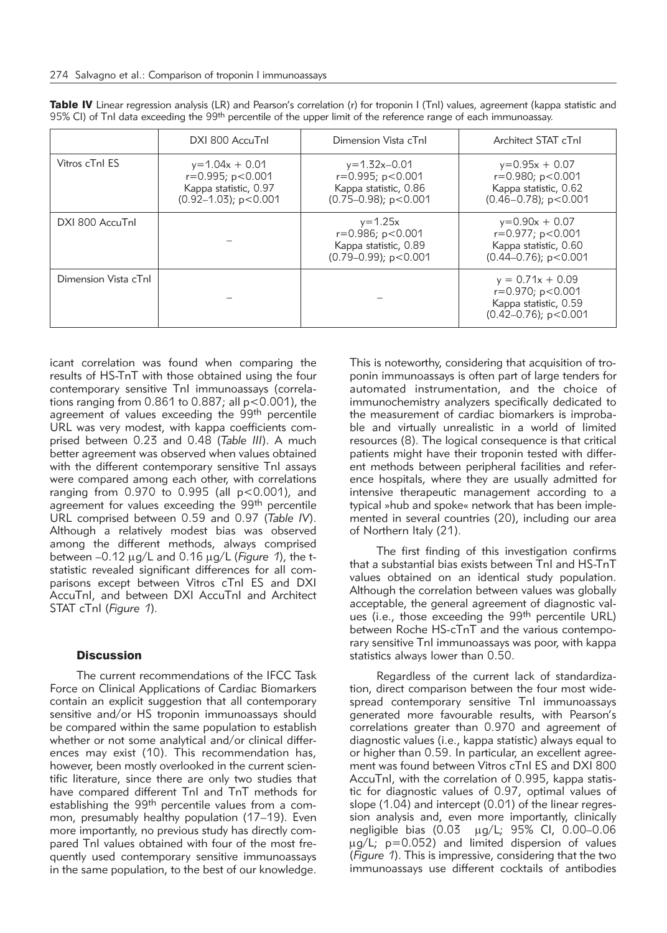|                      | DXI 800 AccuTnl                                                                                       | Dimension Vista cTnl                                                                              | Architect STAT cTnl                                                                                     |
|----------------------|-------------------------------------------------------------------------------------------------------|---------------------------------------------------------------------------------------------------|---------------------------------------------------------------------------------------------------------|
| Vitros cTnl ES       | $y=1.04x + 0.01$<br>$r = 0.995$ ; $p < 0.001$<br>Kappa statistic, 0.97<br>$(0.92 - 1.03)$ ; p < 0.001 | $y=1.32x-0.01$<br>$r = 0.995$ ; $p < 0.001$<br>Kappa statistic, 0.86<br>$(0.75-0.98)$ ; p < 0.001 | $y=0.95x + 0.07$<br>$r = 0.980; p < 0.001$<br>Kappa statistic, 0.62<br>$(0.46 - 0.78)$ ; p < 0.001      |
| DXI 800 AccuTnl      |                                                                                                       | $y = 1.25x$<br>$r = 0.986$ ; $p < 0.001$<br>Kappa statistic, 0.89<br>$(0.79 - 0.99)$ ; p < 0.001  | $y=0.90x + 0.07$<br>r=0.977; p<0.001<br>Kappa statistic, 0.60<br>$(0.44 - 0.76)$ ; p < 0.001            |
| Dimension Vista cTnl |                                                                                                       |                                                                                                   | $y = 0.71x + 0.09$<br>$r = 0.970$ ; $p < 0.001$<br>Kappa statistic, 0.59<br>$(0.42 - 0.76)$ ; p < 0.001 |

Table IV Linear regression analysis (LR) and Pearson's correlation (r) for troponin I (TnI) values, agreement (kappa statistic and 95% CI) of TnI data exceeding the 99<sup>th</sup> percentile of the upper limit of the reference range of each immunoassay.

icant correlation was found when comparing the results of HS-TnT with those obtained using the four contemporary sensitive TnI immunoassays (correlations ranging from  $0.861$  to  $0.887$ ; all  $p < 0.001$ ), the agreement of values exceeding the 99<sup>th</sup> percentile URL was very modest, with kappa coefficients comprised between 0.23 and 0.48 (*Table III*). A much better agreement was observed when values obtained with the different contemporary sensitive TnI assays were compared among each other, with correlations ranging from  $0.970$  to  $0.995$  (all  $p < 0.001$ ), and agreement for values exceeding the 99<sup>th</sup> percentile URL comprised between 0.59 and 0.97 (*Table IV*). Although a relatively modest bias was observed among the different methods, always comprised between –0.12 mg/L and 0.16 mg/L (*Figure 1*), the tstatistic revealed significant differences for all comparisons except between Vitros cTnI ES and DXI AccuTnI, and between DXI AccuTnI and Architect STAT cTnI (*Figure 1*).

## **Discussion**

The current recommendations of the IFCC Task Force on Clinical Applications of Cardiac Biomarkers contain an explicit suggestion that all contemporary sensitive and/or HS troponin immunoassays should be compared within the same population to establish whether or not some analytical and/or clinical differences may exist (10). This recommendation has, however, been mostly overlooked in the current scientific literature, since there are only two studies that have compared different TnI and TnT methods for establishing the 99<sup>th</sup> percentile values from a common, presumably healthy population (17–19). Even more importantly, no previous study has directly compared TnI values obtained with four of the most frequently used contemporary sensitive immunoassays in the same population, to the best of our knowledge.

This is noteworthy, considering that acquisition of troponin immunoassays is often part of large tenders for automated instrumentation, and the choice of immunochemistry analyzers specifically dedicated to the measurement of cardiac biomarkers is improbable and virtually unrealistic in a world of limited resources (8). The logical consequence is that critical patients might have their troponin tested with different methods between peripheral facilities and reference hospitals, where they are usually admitted for intensive therapeutic management according to a typical »hub and spoke« network that has been implemented in several countries (20), including our area of Northern Italy (21).

The first finding of this investigation confirms that a substantial bias exists between TnI and HS-TnT values obtained on an identical study population. Although the correlation between values was globally acceptable, the general agreement of diagnostic values (i.e., those exceeding the 99th percentile URL) between Roche HS-cTnT and the various contemporary sensitive TnI immunoassays was poor, with kappa statistics always lower than 0.50.

Regardless of the current lack of standardization, direct comparison between the four most widespread contemporary sensitive TnI immunoassays generated more favourable results, with Pearson's correlations greater than 0.970 and agreement of diagnostic values (i.e., kappa statistic) always equal to or higher than 0.59. In particular, an excellent agreement was found between Vitros cTnI ES and DXI 800 AccuTnI, with the correlation of 0.995, kappa statistic for diagnostic values of 0.97, optimal values of slope (1.04) and intercept (0.01) of the linear regression analysis and, even more importantly, clinically negligible bias (0.03 ug/L; 95% CI, 0.00–0.06  $\mu$ g/L; p=0.052) and limited dispersion of values (*Figure 1*). This is impressive, considering that the two immunoassays use different cocktails of antibodies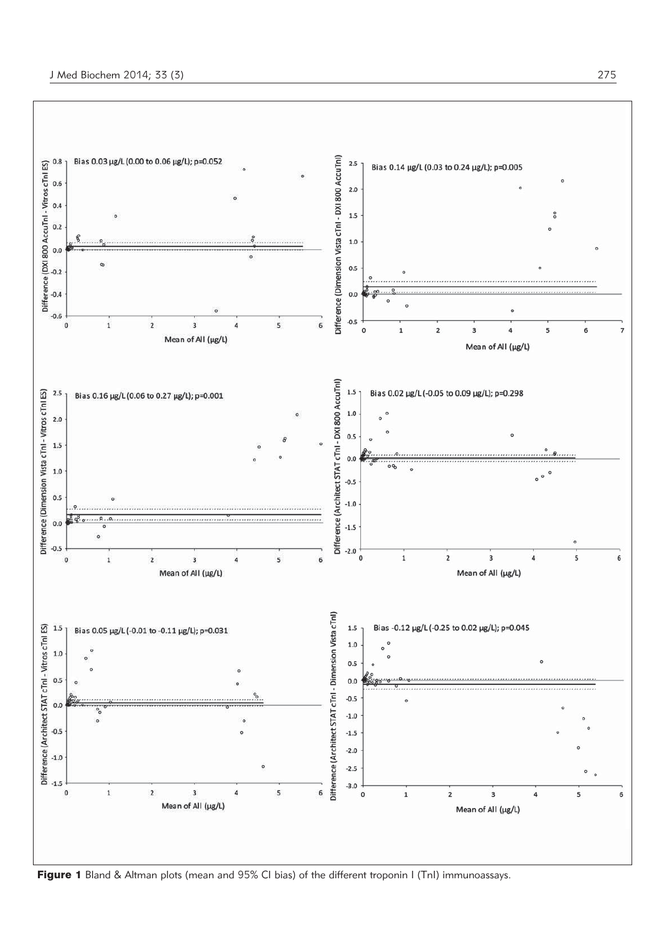

Figure 1 Bland & Altman plots (mean and 95% CI bias) of the different troponin I (TnI) immunoassays.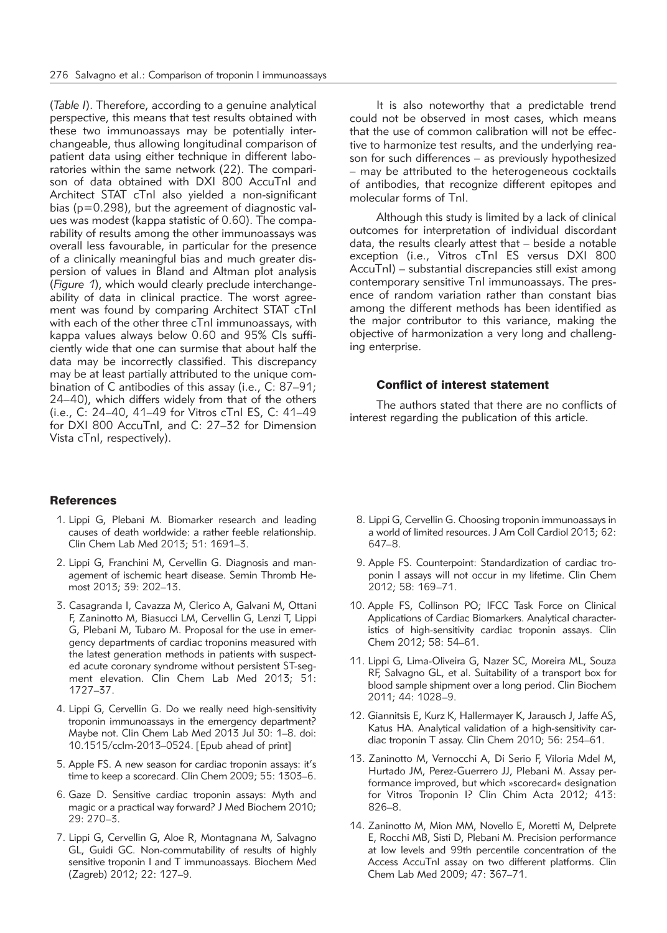(*Table I*). Therefore, according to a genuine analytical perspective, this means that test results obtained with these two immunoassays may be potentially interchangeable, thus allowing longitudinal comparison of patient data using either technique in different laboratories within the same network (22). The comparison of data obtained with DXI 800 AccuTnI and Architect STAT cTnI also yielded a non-significant bias (p=0.298), but the agreement of diagnostic values was modest (kappa statistic of 0.60). The comparability of results among the other immunoassays was overall less favourable, in particular for the presence of a clinically meaningful bias and much greater dispersion of values in Bland and Altman plot analysis (*Figure 1*), which would clearly preclude interchangeability of data in clinical practice. The worst agreement was found by comparing Architect STAT cTnI with each of the other three cTnI immunoassays, with kappa values always below 0.60 and 95% CIs sufficiently wide that one can surmise that about half the data may be incorrectly classified. This discrepancy may be at least partially attributed to the unique combination of C antibodies of this assay (i.e., C: 87–91; 24–40), which differs widely from that of the others (i.e., C: 24–40, 41–49 for Vitros cTnI ES, C: 41–49 for DXI 800 AccuTnI, and C: 27–32 for Dimension Vista cTnI, respectively).

## **References**

- 1. Lippi G, Plebani M. Biomarker research and leading causes of death worldwide: a rather feeble relationship. Clin Chem Lab Med 2013; 51: 1691–3.
- 2. Lippi G, Franchini M, Cervellin G. Diagnosis and management of ischemic heart disease. Semin Thromb Hemost 2013; 39: 202–13.
- 3. Casagranda I, Cavazza M, Clerico A, Galvani M, Ottani F, Zaninotto M, Biasucci LM, Cervellin G, Lenzi T, Lippi G, Plebani M, Tubaro M. Proposal for the use in emergency departments of cardiac troponins measured with the latest generation methods in patients with suspected acute coronary syndrome without persistent ST-segment elevation. Clin Chem Lab Med 2013; 51: 1727–37.
- 4. Lippi G, Cervellin G. Do we really need high-sensitivity troponin immunoassays in the emergency department? Maybe not. Clin Chem Lab Med 2013 Jul 30: 1–8. doi: 10.1515/cclm-2013–0524. [Epub ahead of print]
- 5. Apple FS. A new season for cardiac troponin assays: it's time to keep a scorecard. Clin Chem 2009; 55: 1303–6.
- 6. Gaze D. Sensitive cardiac troponin assays: Myth and magic or a practical way forward? J Med Biochem 2010; 29: 270–3.
- 7. Lippi G, Cervellin G, Aloe R, Montagnana M, Salvagno GL, Guidi GC. Non-commutability of results of highly sensitive troponin I and T immunoassays. Biochem Med (Zagreb) 2012; 22: 127–9.

It is also noteworthy that a predictable trend could not be observed in most cases, which means that the use of common calibration will not be effective to harmonize test results, and the underlying reason for such differences – as previously hypothesized – may be attributed to the heterogeneous cocktails of antibodies, that recognize different epitopes and molecular forms of TnI.

Although this study is limited by a lack of clinical outcomes for interpretation of individual discordant data, the results clearly attest that – beside a notable exception (i.e., Vitros cTnI ES versus DXI 800 AccuTnI) – substantial discrepancies still exist among contemporary sensitive TnI immunoassays. The presence of random variation rather than constant bias among the different methods has been identified as the major contributor to this variance, making the objective of harmonization a very long and challenging enterprise.

#### Conflict of interest statement

The authors stated that there are no conflicts of interest regarding the publication of this article.

- 8. Lippi G, Cervellin G. Choosing troponin immunoassays in a world of limited resources. J Am Coll Cardiol 2013; 62: 647–8.
- 9. Apple FS. Counterpoint: Standardization of cardiac troponin I assays will not occur in my lifetime. Clin Chem 2012; 58: 169–71.
- 10. Apple FS, Collinson PO; IFCC Task Force on Clinical Applications of Cardiac Biomarkers. Analytical characteristics of high-sensitivity cardiac troponin assays. Clin Chem 2012; 58: 54–61.
- 11. Lippi G, Lima-Oliveira G, Nazer SC, Moreira ML, Souza RF, Salvagno GL, et al. Suitability of a transport box for blood sample shipment over a long period. Clin Biochem 2011; 44: 1028–9.
- 12. Giannitsis E, Kurz K, Hallermayer K, Jarausch J, Jaffe AS, Katus HA. Analytical validation of a high-sensitivity cardiac troponin T assay. Clin Chem 2010; 56: 254–61.
- 13. Zaninotto M, Vernocchi A, Di Serio F, Viloria Mdel M, Hurtado JM, Perez-Guerrero JJ, Plebani M. Assay performance improved, but which »scorecard« designation for Vitros Troponin I? Clin Chim Acta 2012; 413: 826–8.
- 14. Zaninotto M, Mion MM, Novello E, Moretti M, Delprete E, Rocchi MB, Sisti D, Plebani M. Precision performance at low levels and 99th percentile concentration of the Access AccuTnl assay on two different platforms. Clin Chem Lab Med 2009; 47: 367–71.